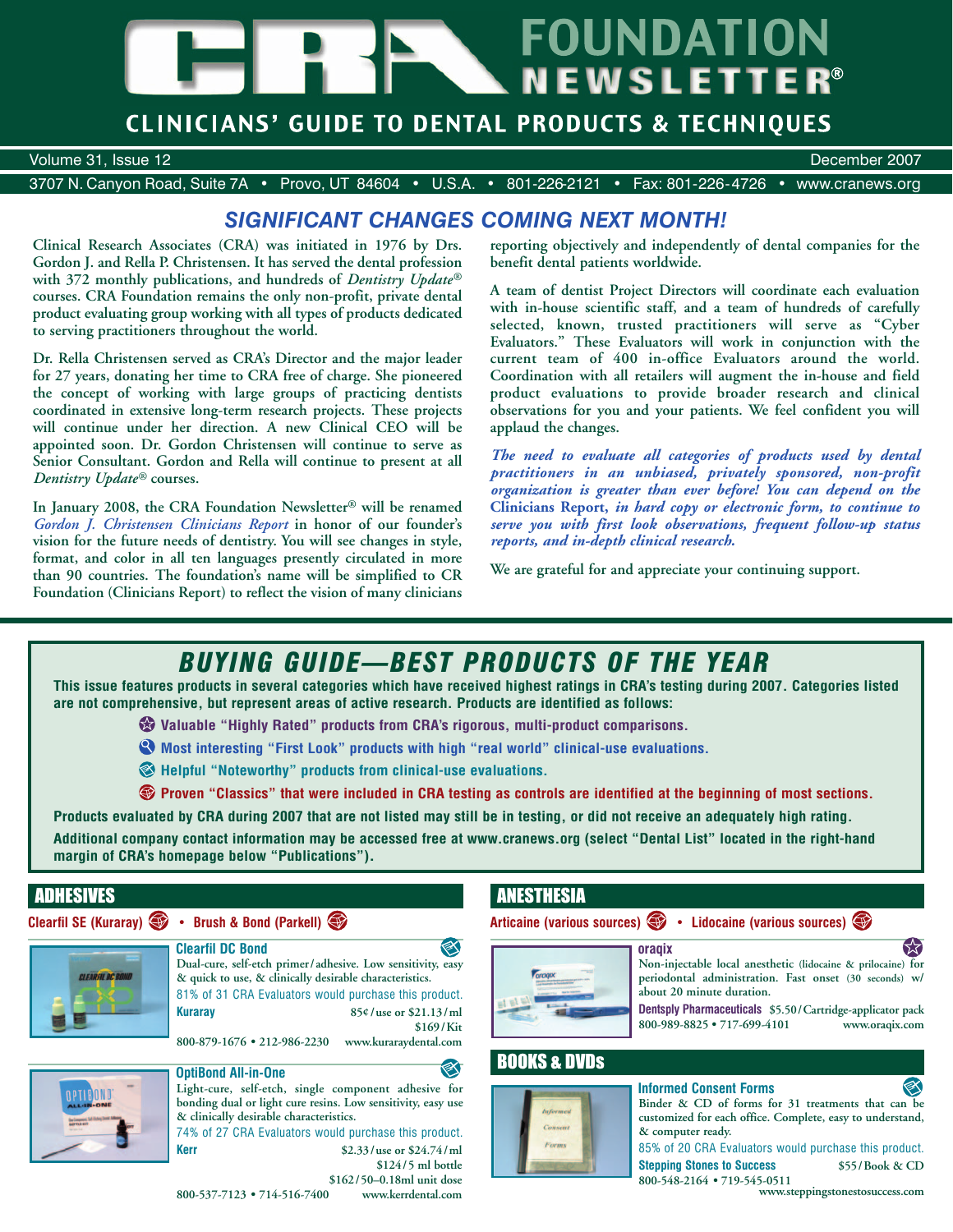# **FOUNDATION NEWSLETTER**<sup>®</sup>

## **CLINICIANS' GUIDE TO DENTAL PRODUCTS & TECHNIQUES**

Volume 31, Issue 12 December 2007

3707 N. Canyon Road, Suite 7A • Provo, UT 84604 • U.S.A. • 801-226-2121 • Fax: 801-226-4726 • www.cranews.org

## *SIGNIFICANT CHANGES COMING NEXT MONTH!*

**Clinical Research Associates (CRA) was initiated in 1976 by Drs. Gordon J. and Rella P. Christensen. It has served the dental profession with 372 monthly publications, and hundreds of** *Dentistry Update®* **courses. CRA Foundation remains the only non-profit, private dental product evaluating group working with all types of products dedicated to serving practitioners throughout the world.**

**Dr. Rella Christensen served as CRA's Director and the major leader for 27 years, donating her time to CRA free of charge. She pioneered the concept of working with large groups of practicing dentists coordinated in extensive long-term research projects. These projects will continue under her direction. A new Clinical CEO will be appointed soon. Dr. Gordon Christensen will continue to serve as Senior Consultant. Gordon and Rella will continue to present at all** *Dentistry Update®* **courses.**

**In January 2008, the CRA Foundation Newsletter® will be renamed** *Gordon J. Christensen Clinicians Report* **in honor of our founder's vision for the future needs of dentistry. You will see changes in style, format, and color in all ten languages presently circulated in more than 90 countries. The foundation's name will be simplified to CR Foundation (Clinicians Report) to reflect the vision of many clinicians**

**reporting objectively and independently of dental companies for the benefit dental patients worldwide.**

**A team of dentist Project Directors will coordinate each evaluation with in-house scientific staff, and a team of hundreds of carefully selected, known, trusted practitioners will serve as "Cyber Evaluators." These Evaluators will work in conjunction with the current team of 400 in-office Evaluators around the world. Coordination with all retailers will augment the in-house and field product evaluations to provide broader research and clinical observations for you and your patients. We feel confident you will applaud the changes.**

*The need to evaluate all categories of products used by dental practitioners in an unbiased, privately sponsored, non-profit organization is greater than ever before! You can depend on the* **Clinicians Report,** *in hard copy or electronic form, to continue to serve you with first look observations, frequent follow-up status reports, and in-depth clinical research.*

**We are grateful for and appreciate your continuing support.** 

# *BUYING GUIDE—BEST PRODUCTS OF THE YEAR*

**This issue features products in several categories which have received highest ratings in CRA's testing during 2007. Categories listed are not comprehensive, but represent areas of active research. Products are identified as follows:**

**Valuable "Highly Rated" products from CRA's rigorous, multi-product comparisons.**

**Most interesting "First Look" products with high "real world" clinical-use evaluations.**

**Helpful "Noteworthy" products from clinical-use evaluations.**

**Proven "Classics" that were included in CRA testing as controls are identified at the beginning of most sections.**

**Products evaluated by CRA during 2007 that are not listed may still be in testing, or did not receive an adequately high rating.** 

**Additional company contact information may be accessed free at www.cranews.org (select "Dental List" located in the right-hand margin of CRA's homepage below "Publications").**

Ø

## ADHESIVES

## **Clearfil SE (Kuraray) • Brush & Bond (Parkell)**



**800-879-1676 • 212-986-2230 www.kuraraydental.com**



CLEAREN DC BOND

## **OptiBond All-in-One**

**Light-cure, self-etch, single component adhesive for bonding dual or light cure resins. Low sensitivity, easy use & clinically desirable characteristics.**

74% of 27 CRA Evaluators would purchase this product. **Kerr \$2.33/use or \$24.74/ml \$124/5 ml bottle**

#### **\$162/50–0.18ml unit dose** 800-537-7123 • 714-516-7400

## ANESTHESIA





**Non-injectable local anesthetic (lidocaine & prilocaine) for periodontal administration. Fast onset (30 seconds) w/ about 20 minute duration.**

**Dentsply Pharmaceuticals \$5.50/Cartridge-applicator pack 800-989-8825 • 717-699-4101 www.oraqix.com**

## BOOKS & DVDs



## **Informed Consent Forms**



85% of 20 CRA Evaluators would purchase this product. **Stepping Stones to Success \$55/Book & CD** 

**800-548-2164 • 719-545-0511 www.steppingstonestosuccess.com**

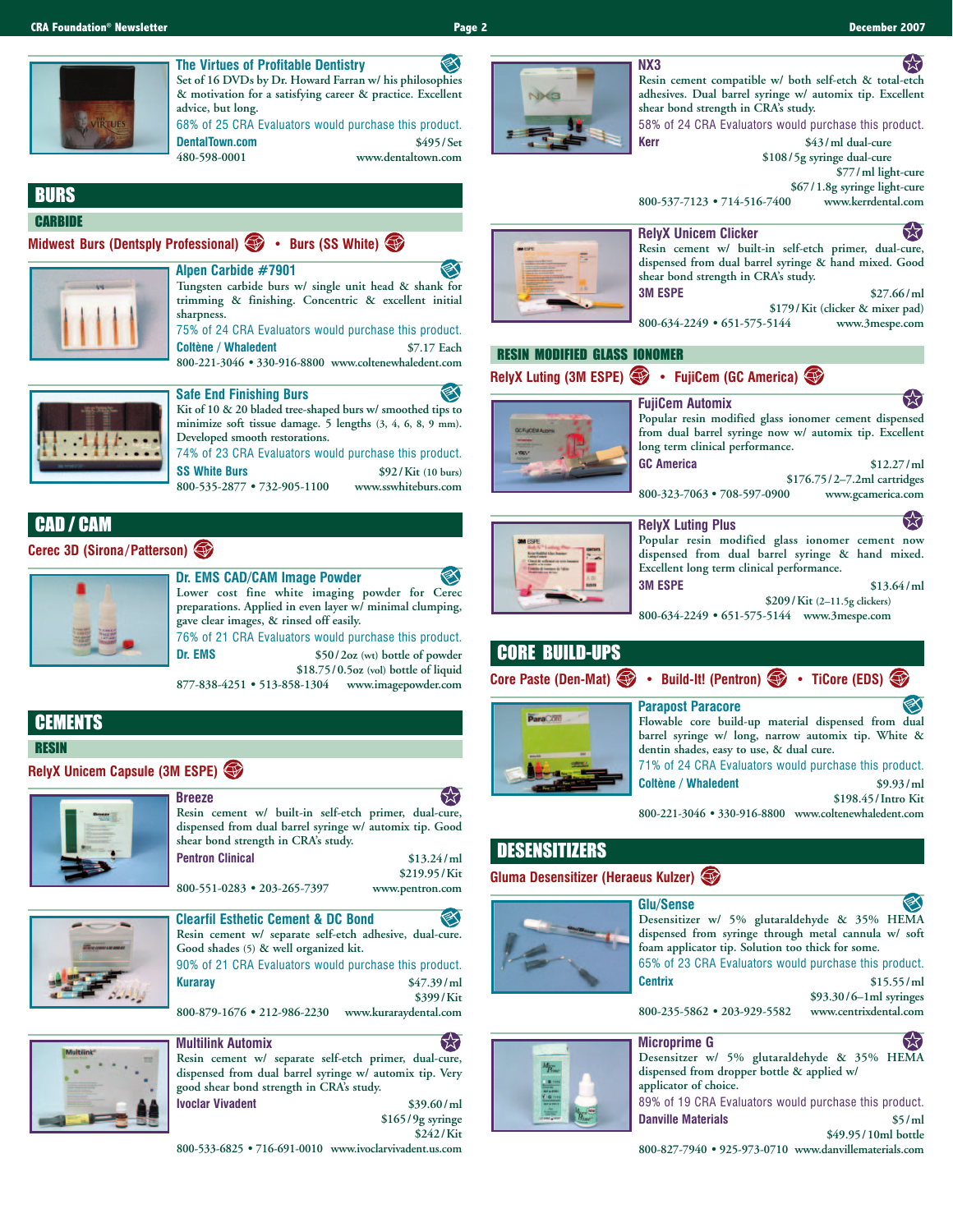## **The Virtues of Profitable Dentistry**

⋘ **Set of 16 DVDs by Dr. Howard Farran w/ his philosophies & motivation for a satisfying career & practice. Excellent advice, but long.** 68% of 25 CRA Evaluators would purchase this product. **DentalTown.com \$495/Set**

**480-598-0001 www.dentaltown.com**

## **BURS**

#### **CARBIDE**

**Midwest Burs (Dentsply Professional) • Burs (SS White)**



**Alpen Carbide #7901 Tungsten carbide burs w/ single unit head & shank for trimming & finishing. Concentric & excellent initial sharpness.** 75% of 24 CRA Evaluators would purchase this product. **Coltène / Whaledent \$7.17 Each 800-221-3046 • 330-916-8800 www.coltenewhaledent.com**



**Safe End Finishing Burs Kit of 10 & 20 bladed tree-shaped burs w/ smoothed tips to minimize soft tissue damage. 5 lengths (3, 4, 6, 8, 9 mm). Developed smooth restorations.** 74% of 23 CRA Evaluators would purchase this product.

**SS White Burs \$92/Kit (10 burs) 800-535-2877 • 732-905-1100 www.sswhiteburs.com**

## CAD / CAM

## **Cerec 3D (Sirona/Patterson)**



**Dr. EMS CAD/CAM Image Powder** ❤ **Lower cost fine white imaging powder for Cerec preparations. Applied in even layer w/ minimal clumping, gave clear images, & rinsed off easily.** 76% of 21 CRA Evaluators would purchase this product. **Dr. EMS \$50/2oz (wt) bottle of powder**

**\$18.75/0.5oz (vol) bottle of liquid 877-838-4251 • 513-858-1304 www.imagepowder.com**

## **CEMENTS**

RESIN

## **RelyX Unicem Capsule (3M ESPE)**



**Breeze Resin cement w/ built-in self-etch primer, dual-cure, dispensed from dual barrel syringe w/ automix tip. Good shear bond strength in CRA's study. Pentron Clinical \$13.24/ml \$219.95/Kit**

**800-551-0283 • 203-265-7397 www.pentron.com**



**Clearfil Esthetic Cement & DC Bond Resin cement w/ separate self-etch adhesive, dual-cure. Good shades (5) & well organized kit.** 90% of 21 CRA Evaluators would purchase this product. **Kuraray \$47.39/ml \$399/Kit**

**800-879-1676 • 212-986-2230 www.kuraraydental.com**



## **Multilink Automix**

**Resin cement w/ separate self-etch primer, dual-cure, dispensed from dual barrel syringe w/ automix tip. Very good shear bond strength in CRA's study. Ivoclar Vivadent** \$39.60/ml

**\$165/9g syringe \$242/Kit**

**800-533-6825 • 716-691-0010 www.ivoclarvivadent.us.com**



**NX3 Resin cement compatible w/ both self-etch & total-etch adhesives. Dual barrel syringe w/ automix tip. Excellent shear bond strength in CRA's study.**

58% of 24 CRA Evaluators would purchase this product. **Kerr \$43/ml dual-cure**

**\$108/5g syringe dual-cure**

**\$77/ml light-cure**

**\$67/1.8g syringe light-cure 800-537-7123 • 714-516-7400 www.kerrdental.com**



#### 55 **Resin cement w/ built-in self-etch primer, dual-cure, dispensed from dual barrel syringe & hand mixed. Good shear bond strength in CRA's study.**

**3M ESPE \$27.66/ml**

**\$179/Kit (clicker & mixer pad) 800-634-2249 • 651-575-5144 www.3mespe.com**

### RESIN MODIFIED GLASS IONOMER

**RelyX Luting (3M ESPE) • FujiCem (GC America)**



| FujiCem Automix                 | $\mathcal{M}.$                                         |
|---------------------------------|--------------------------------------------------------|
|                                 | Popular resin modified glass ionomer cement dispensed  |
|                                 | from dual barrel syringe now w/ automix tip. Excellent |
| long term clinical performance. |                                                        |
| <b>GC America</b>               | \$12.27/m                                              |
|                                 | \$176.75/2-7.2ml cartridges                            |

**800-323-7063 • 708-597-0900 www.gcamerica.com**



**RelyX Luting Plus Popular resin modified glass ionomer cement now dispensed from dual barrel syringe & hand mixed. Excellent long term clinical performance. 3M ESPE \$13.64/ml**

**\$209/Kit (2–11.5g clickers)**

くぐ

**800-634-2249 • 651-575-5144 www.3mespe.com**

## CORE BUILD-UPS

**Core Paste (Den-Mat)** • Build-It! (Pentron) • TiCore (EDS)



| <b>Parapost Paracore</b>                              |                    |  |  |  |
|-------------------------------------------------------|--------------------|--|--|--|
| Flowable core build-up material dispensed from dual   |                    |  |  |  |
| barrel syringe w/ long, narrow automix tip. White &   |                    |  |  |  |
| dentin shades, easy to use, & dual cure.              |                    |  |  |  |
| 71% of 24 CRA Evaluators would purchase this product. |                    |  |  |  |
| <b>Coltène / Whaledent</b>                            | \$9.93/m           |  |  |  |
|                                                       | \$198.45/Intro Kit |  |  |  |
| 800-221-3046 . 330-916-8800 www.coltenewhaledent.com  |                    |  |  |  |

## DESENSITIZERS

### **Gluma Desensitizer (Heraeus Kulzer)**





#### **Glu/Sense Desensitizer w/ 5% glutaraldehyde & 35% HEMA dispensed from syringe through metal cannula w/ soft foam applicator tip. Solution too thick for some.**

65% of 23 CRA Evaluators would purchase this product. **Centrix \$15.55/ml**

**\$93.30/6–1ml syringes**

800-235-5862 **•** 203-929-5582



**\$49.95/10ml bottle 800-827-7940 • 925-973-0710 www.danvillematerials.com**





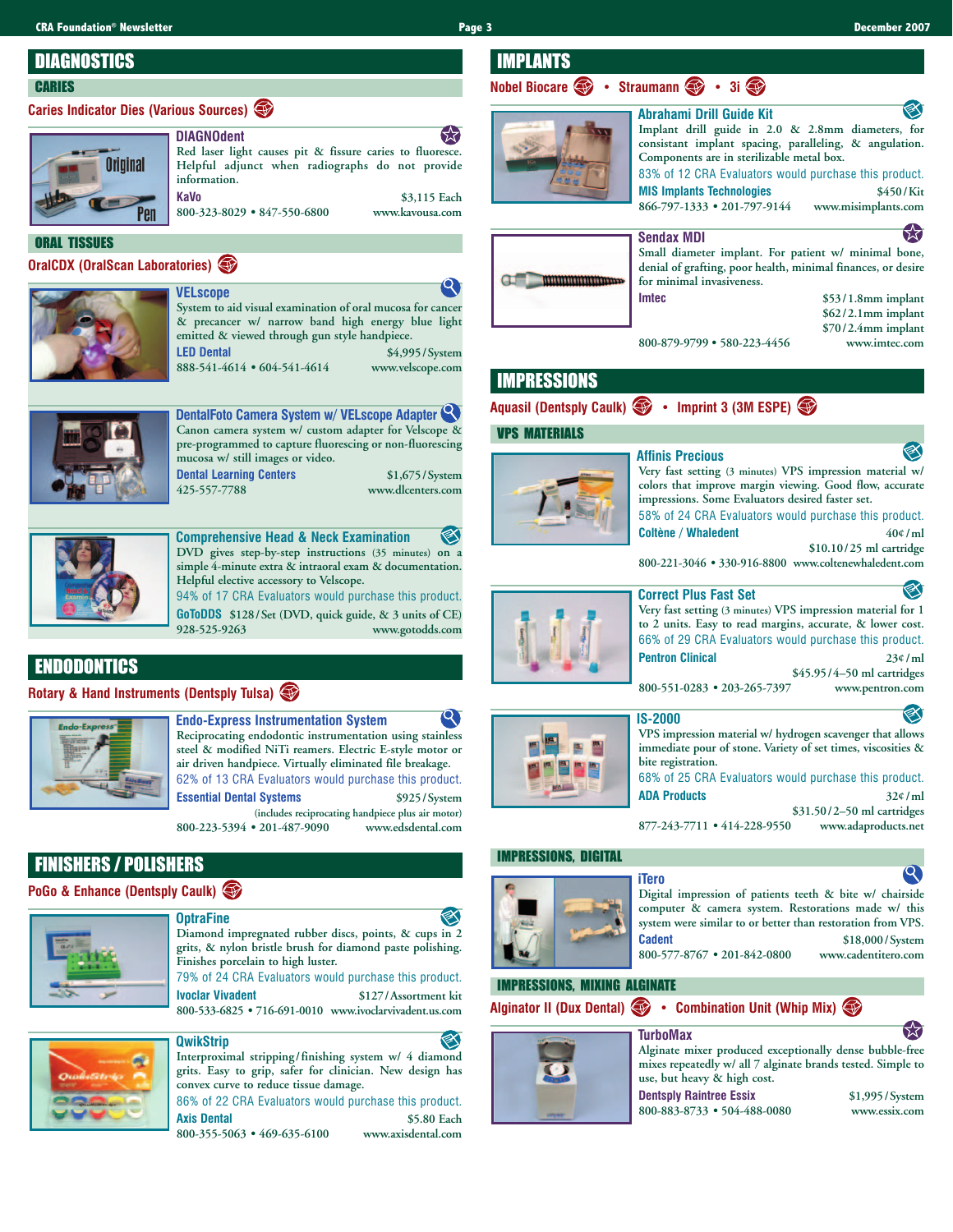IMPLANTS

## **DIAGNOSTICS**

#### **CARIES**

### **Caries Indicator Dies (Various Sources)**



饫 **DIAGNOdent Red laser light causes pit & fissure caries to fluoresce. Helpful adjunct when radiographs do not provide information. KaVo \$3,115 Each**

**800-323-8029 • 847-550-6800 www.kavousa.com**

#### ORAL TISSUES

**OralCDX (OralScan Laboratories)** 



**System to aid visual examination of oral mucosa for cancer & precancer w/ narrow band high energy blue light emitted & viewed through gun style handpiece. LED Dental \$4,995/System 888-541-4614 • 604-541-4614 www.velscope.com**



**DentalFoto Camera System w/ VELscope Adapter Canon camera system w/ custom adapter for Velscope & pre-programmed to capture fluorescing or non-fluorescing mucosa w/ still images or video.**

**Dental Learning Centers** \$1,675/System

**VELscope**

**425-557-7788 www.dlcenters.com**



**Comprehensive Head & Neck Examination DVD gives step-by-step instructions (35 minutes) on a simple 4-minute extra & intraoral exam & documentation. Helpful elective accessory to Velscope.**

94% of 17 CRA Evaluators would purchase this product. **GoToDDS \$128/Set (DVD, quick guide, & 3 units of CE) 928-525-9263 www.gotodds.com**

## ENDODONTICS

#### **Rotary & Hand Instruments (Dentsply Tulsa)**



**Endo-Express Instrumentation System Reciprocating endodontic instrumentation using stainless steel & modified NiTi reamers. Electric E-style motor or air driven handpiece. Virtually eliminated file breakage.** 62% of 13 CRA Evaluators would purchase this product. **Essential Dental Systems \$925/System (includes reciprocating handpiece plus air motor)**

**800-223-5394 • 201-487-9090 www.edsdental.com**

## FINISHERS / POLISHERS

**PoGo & Enhance (Dentsply Caulk)** 



#### **OptraFine**

**Diamond impregnated rubber discs, points, & cups in 2 grits, & nylon bristle brush for diamond paste polishing. Finishes porcelain to high luster.**

79% of 24 CRA Evaluators would purchase this product. **Ivoclar Vivadent \$127/Assortment kit 800-533-6825 • 716-691-0010 www.ivoclarvivadent.us.com**

## **QwikStrip**

**Interproximal stripping/finishing system w/ 4 diamond grits. Easy to grip, safer for clinician. New design has convex curve to reduce tissue damage.** 86% of 22 CRA Evaluators would purchase this product.

**Axis Dental \$5.80 Each 800-355-5063 • 469-635-6100 www.axisdental.com**

mmmmmmmm

#### **Implant drill guide in 2.0 & 2.8mm diameters, for consistant implant spacing, paralleling, & angulation. Components are in sterilizable metal box.** 83% of 12 CRA Evaluators would purchase this product. **MIS Implants Technologies \$450/Kit**

**866-797-1333 • 201-797-9144 www.misimplants.com**

**Abrahami Drill Guide Kit**

## 53



**Nobel Biocare** • Straumann • 3i

#### **Small diameter implant. For patient w/ minimal bone, denial of grafting, poor health, minimal finances, or desire for minimal invasiveness. Imtec \$53/1.8mm implant**

**\$62/2.1mm implant \$70/2.4mm implant 800-879-9799 • 580-223-4456 www.imtec.com**

## IMPRESSIONS

#### **Aquasil (Dentsply Caulk) • Imprint 3 (3M ESPE)**

VPS MATERIALS



**Affinis Precious**

**Very fast setting (3 minutes) VPS impression material w/ colors that improve margin viewing. Good flow, accurate impressions. Some Evaluators desired faster set.**

58% of 24 CRA Evaluators would purchase this product. **Coltène / Whaledent 40¢/ml**

**\$10.10/25 ml cartridge**

**800-221-3046 • 330-916-8800 www.coltenewhaledent.com**



#### **Correct Plus Fast Set**

**Very fast setting (3 minutes) VPS impression material for 1 to 2 units. Easy to read margins, accurate, & lower cost.**  66% of 29 CRA Evaluators would purchase this product. **Pentron Clinical 23¢/ml**

**\$45.95/4–50 ml cartridges 800-551-0283 • 203-265-7397 www.pentron.com**

## **IS-2000 VPS impression material w/ hydrogen scavenger that allows**

**immediate pour of stone. Variety of set times, viscosities & bite registration.** 68% of 25 CRA Evaluators would purchase this product. **ADA Products 32¢/ml \$31.50/2–50 ml cartridges**

**877-243-7711 • 414-228-9550 www.adaproducts.net**

#### IMPRESSIONS, DIGITAL



#### **Digital impression of patients teeth & bite w/ chairside computer & camera system. Restorations made w/ this system were similar to or better than restoration from VPS. Cadent \$18,000/System 800-577-8767 • 201-842-0800 www.cadentitero.com**

#### IMPRESSIONS, MIXING ALGINATE

**Alginator II (Dux Dental) • Combination Unit (Whip Mix)** 





**Dentsply Raintree Essix \$1,995/System 800-883-8733 • 504-488-0080 www.essix.com**





#### **TurboMax**



**iTero**



53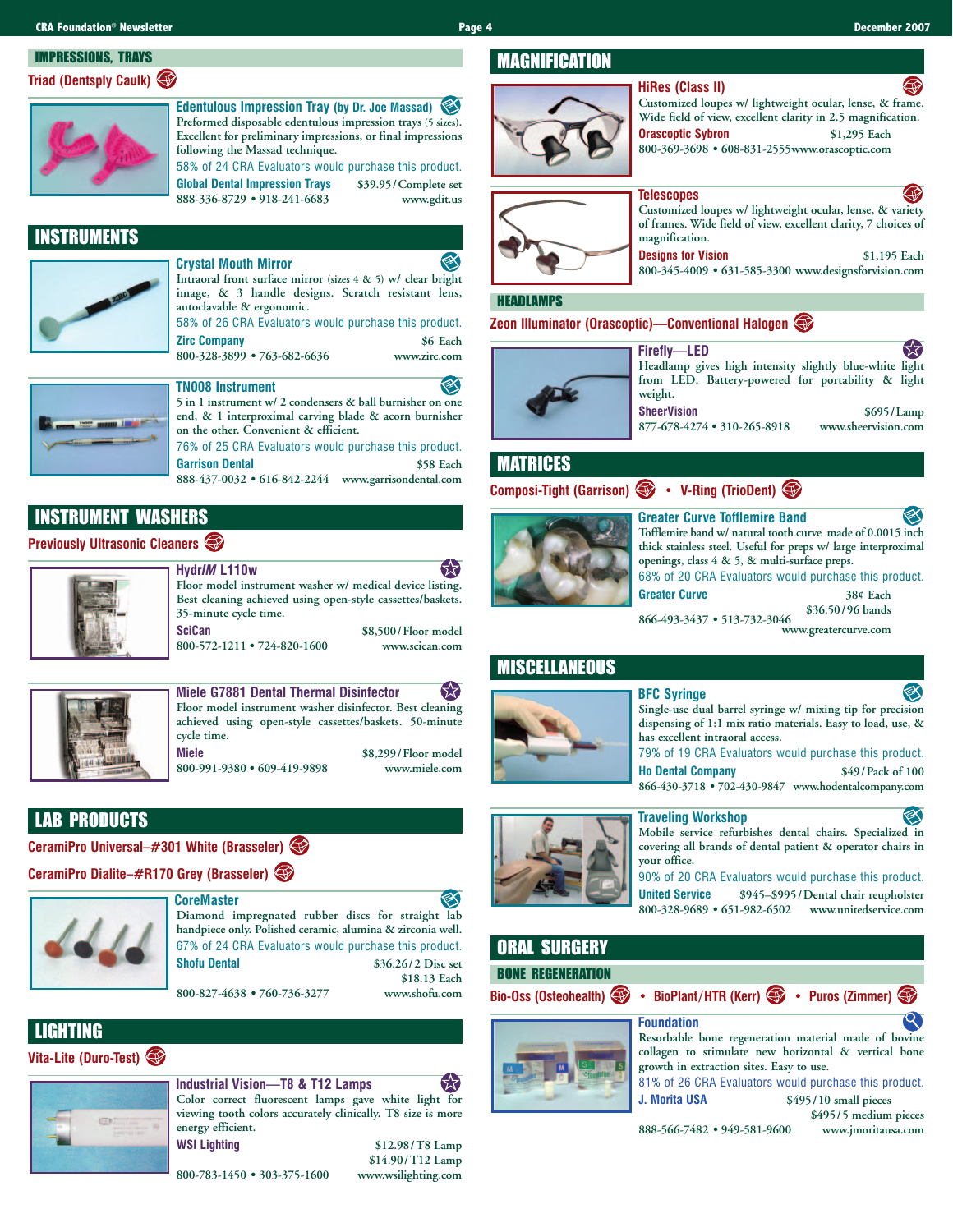## IMPRESSIONS, TRAYS **Triad (Dentsply Caulk)**



**Edentulous Impression Tray (by Dr. Joe Massad) Preformed disposable edentulous impression trays (5 sizes). Excellent for preliminary impressions, or final impressions following the Massad technique.**

58% of 24 CRA Evaluators would purchase this product. **Global Dental Impression Trays \$39.95/Complete set 888-336-8729 • 918-241-6683 www.gdit.us**

## INSTRUMENTS



**Crystal Mouth Mirror Intraoral front surface mirror (sizes 4 & 5) w/ clear bright image, & 3 handle designs. Scratch resistant lens, autoclavable & ergonomic.** 58% of 26 CRA Evaluators would purchase this product.

**Zirc Company \$6 Each 800-328-3899 • 763-682-6636 www.zirc.com**



## **TN008 Instrument**

**5 in 1 instrument w/ 2 condensers & ball burnisher on one end, & 1 interproximal carving blade & acorn burnisher on the other. Convenient & efficient.** 76% of 25 CRA Evaluators would purchase this product.

**Garrison Dental \$58 Each 888-437-0032 • 616-842-2244 www.garrisondental.com**

**Best cleaning achieved using open-style cassettes/baskets.**

## INSTRUMENT WASHERS

#### **Previously Ultrasonic Cleaners**



**Hydr***IM* **L110w Floor model instrument washer w/ medical device listing.**

**35-minute cycle time. SciCan \$8,500/Floor model**<br>800-572-1211 • 724-820-1600 **\$8,500/Floor model** 

800-572-1211 • 724-820-1600





**Miele G7881 Dental Thermal Disinfector** 53 **Floor model instrument washer disinfector. Best cleaning achieved using open-style cassettes/baskets. 50-minute cycle time. Miele \$8,299/Floor model**

800-991-9380 • 609-419-9898

## LAB PRODUCTS

**CeramiPro Universal–#301 White (Brasseler)** 

## **CeramiPro Dialite–#R170 Grey (Brasseler)**



**CoreMaster Diamond impregnated rubber discs for straight lab handpiece only. Polished ceramic, alumina & zirconia well.** 67% of 24 CRA Evaluators would purchase this product. **Shofu Dental \$36.26/2 Disc set \$18.13 Each**

800-827-4638 • 760-736-3277

**800-783-1450 • 303-375-1600 www.wsilighting.com**

## LIGHTING

#### **Vita-Lite (Duro-Test)**



## **Industrial Vision—T8 & T12 Lamps**

**Color correct fluorescent lamps gave white light for viewing tooth colors accurately clinically. T8 size is more energy efficient. WSI Lighting \$12.98/T8 Lamp**

**\$14.90/T12 Lamp**

## MAGNIFICATION



#### **HiRes (Class II) Customized loupes w/ lightweight ocular, lense, & frame. Wide field of view, excellent clarity in 2.5 magnification. Orascoptic Sybron \$1,295 Each 800-369-3698 • 608-831-2555www.orascoptic.com**



#### **Telescopes Customized loupes w/ lightweight ocular, lense, & variety of frames. Wide field of view, excellent clarity, 7 choices of magnification.**

**Designs for Vision \$1,195 Each 800-345-4009 • 631-585-3300 www.designsforvision.com**

#### HEADLAMPS

**Zeon Illuminator (Orascoptic)—Conventional Halogen** 



**Firefly—LED Headlamp gives high intensity slightly blue-white light from LED. Battery-powered for portability & light weight. SheerVision** \$695/Lamp<br>877-678-4274 • 310-265-8918 www.sheervision.com 877-678-4274 • 310-265-8918

MATRICES

**Composi-Tight (Garrison) • V-Ring (TrioDent)** 

#### **Greater Curve Tofflemire Band**



**Tofflemire band w/ natural tooth curve made of 0.0015 inch thick stainless steel. Useful for preps w/ large interproximal openings, class 4 & 5, & multi-surface preps.** 68% of 20 CRA Evaluators would purchase this product.

**Greater Curve 38¢ Each**

**\$36.50/96 bands**

**866-493-3437 • 513-732-3046 www.greatercurve.com**

## MISCELLANEOUS



**Single-use dual barrel syringe w/ mixing tip for precision dispensing of 1:1 mix ratio materials. Easy to load, use, &**

**BFC Syringe**

**has excellent intraoral access.** 79% of 19 CRA Evaluators would purchase this product. **Ho Dental Company \$49/Pack of 100**

**866-430-3718 • 702-430-9847 www.hodentalcompany.com**



**Traveling Workshop**

**Mobile service refurbishes dental chairs. Specialized in covering all brands of dental patient & operator chairs in your office.**

90% of 20 CRA Evaluators would purchase this product. **United Service \$945–\$995/Dental chair reupholster 800-328-9689 • 651-982-6502 www.unitedservice.com**

## ORAL SURGERY BONE REGENERATION

**Bio-Oss (Osteohealth) • BioPlant/HTR (Kerr) • Puros (Zimmer)** 

# **Foundation**



**Resorbable bone regeneration material made of bovine collagen to stimulate new horizontal & vertical bone growth in extraction sites. Easy to use.**

81% of 26 CRA Evaluators would purchase this product. **J. Morita USA \$495/10 small pieces**

**888-566-7482 • 949-581-9600 www.jmoritausa.com**

**\$495/5 medium pieces**

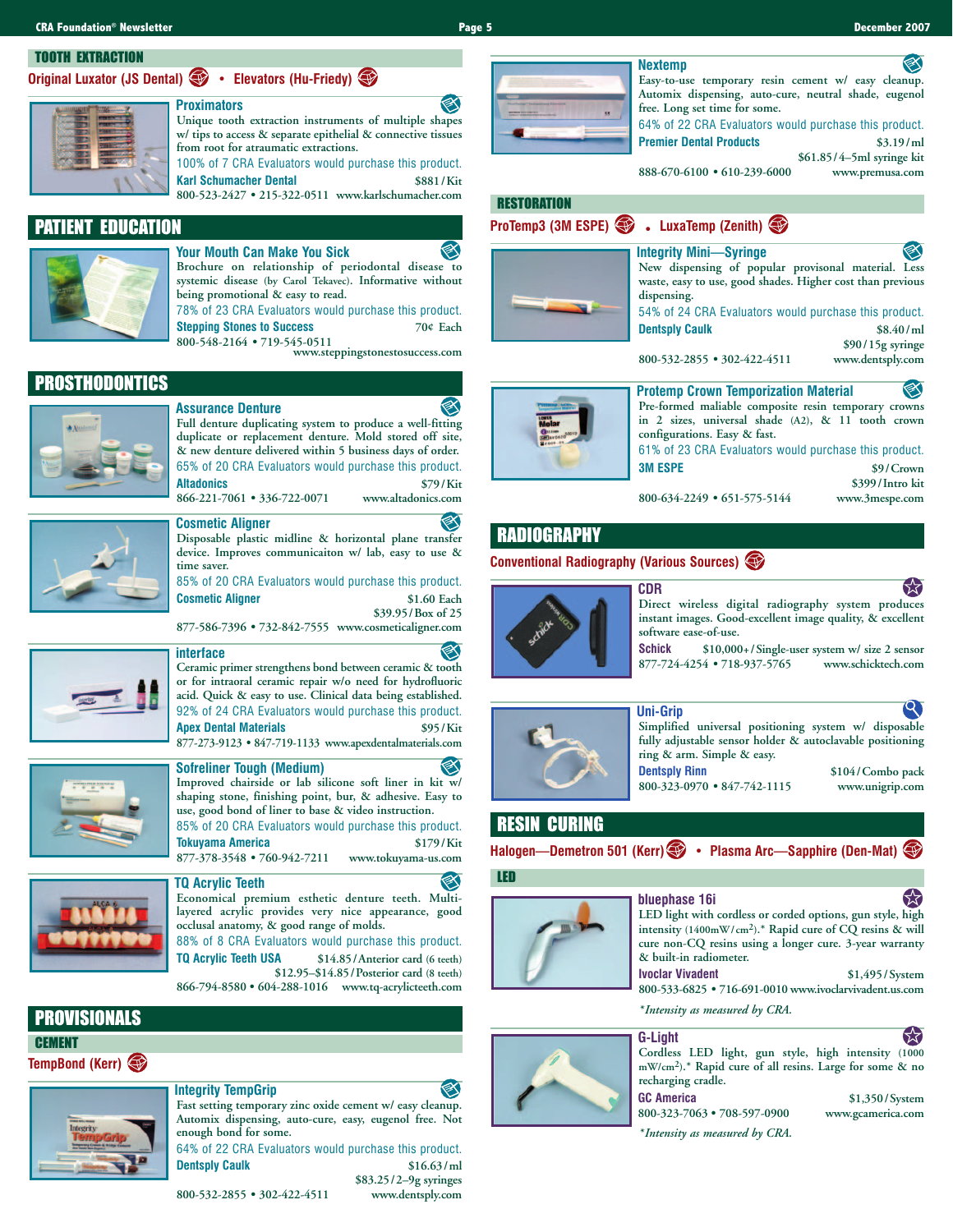#### TOOTH EXTRACTION

**Original Luxator (JS Dental) • Elevators (Hu-Friedy)** 



**Unique tooth extraction instruments of multiple shapes w/ tips to access & separate epithelial & connective tissues from root for atraumatic extractions.** 100% of 7 CRA Evaluators would purchase this product. **Karl Schumacher Dental \$881/Kit**

**800-523-2427 • 215-322-0511 www.karlschumacher.com**

## PATIENT EDUCATION



**Your Mouth Can Make You Sick Brochure on relationship of periodontal disease to systemic disease (by Carol Tekavec). Informative without being promotional & easy to read.** 78% of 23 CRA Evaluators would purchase this product. **Stepping Stones to Success 70¢ Each**

**800-548-2164 • 719-545-0511 www.steppingstonestosuccess.com**

PROSTHODONTICS

#### **Assurance Denture**

**Full denture duplicating system to produce a well-fitting duplicate or replacement denture. Mold stored off site, & new denture delivered within 5 business days of order.**  65% of 20 CRA Evaluators would purchase this product. **Altadonics \$79/Kit** 866-221-7061 • 336-722-0071



**Disposable plastic midline & horizontal plane transfer device. Improves communicaiton w/ lab, easy to use & time saver.**

85% of 20 CRA Evaluators would purchase this product. **Cosmetic Aligner \$1.60 Each \$39.95/Box of 25** 

**877-586-7396 • 732-842-7555 www.cosmeticaligner.com**



#### **interface Ceramic primer strengthens bond between ceramic & tooth or for intraoral ceramic repair w/o need for hydrofluoric acid. Quick & easy to use. Clinical data being established.**

92% of 24 CRA Evaluators would purchase this product. **Apex Dental Materials \$95/Kit 877-273-9123 • 847-719-1133 www.apexdentalmaterials.com**

### **Sofreliner Tough (Medium) Improved chairside or lab silicone soft liner in kit w/ shaping stone, finishing point, bur, & adhesive. Easy to**

**use, good bond of liner to base & video instruction.** 85% of 20 CRA Evaluators would purchase this product. **Tokuyama America \$179/Kit 877-378-3548 • 760-942-7211 www.tokuyama-us.com**



# **Economical premium esthetic denture teeth. Multi-**

**layered acrylic provides very nice appearance, good occlusal anatomy, & good range of molds.** 88% of 8 CRA Evaluators would purchase this product.

**TQ Acrylic Teeth USA \$14.85/Anterior card (6 teeth) \$12.95–\$14.85/Posterior card (8 teeth) 866-794-8580 • 604-288-1016 www.tq-acrylicteeth.com**

PROVISIONALS

**CEMENT** 

**TempBond (Kerr)** 

#### **Integrity TempGrip**

**Fast setting temporary zinc oxide cement w/ easy cleanup. Automix dispensing, auto-cure, easy, eugenol free. Not enough bond for some.** 64% of 22 CRA Evaluators would purchase this product.

**Dentsply Caulk \$16.63/ml \$83.25/2–9g syringes**

800-532-2855 • 302-422-4511



#### **Easy-to-use temporary resin cement w/ easy cleanup. Automix dispensing, auto-cure, neutral shade, eugenol free. Long set time for some.**

64% of 22 CRA Evaluators would purchase this product. **Premier Dental Products \$3.19/ml**

**\$61.85/4–5ml syringe kit**

**888-670-6100 • 610-239-6000 www.premusa.com**

## **RESTORATION**



| • LuxaTemp (Zenith)                                                                  |                               |
|--------------------------------------------------------------------------------------|-------------------------------|
| <b>Integrity Mini—Syringe</b><br>New dispensing of popular provisonal material. Less |                               |
| waste, easy to use, good shades. Higher cost than previous<br>dispensing.            |                               |
| 54% of 24 CRA Evaluators would purchase this product.                                |                               |
| <b>Dentsply Caulk</b>                                                                | \$8.40/m1<br>\$90/15g syringe |
| 800-532-2855 • 302-422-4511                                                          | www.dentsply.com              |



| <b>Protemp Crown Temporization Material</b>           |                 |
|-------------------------------------------------------|-----------------|
| Pre-formed maliable composite resin temporary crowns  |                 |
| in 2 sizes, universal shade (A2), & 11 tooth crown    |                 |
| configurations. Easy & fast.                          |                 |
| 61% of 23 CRA Evaluators would purchase this product. |                 |
| <b>3M ESPE</b>                                        | \$9/Crown       |
|                                                       | \$399/Intro kit |
| 800-634-2249 • 651-575-5144                           | www.3mespe.com  |

## RADIOGRAPHY

#### **Conventional Radiography (Various Sources)**



**CDR Direct wireless digital radiography system produces instant images. Good-excellent image quality, & excellent software ease-of-use.**

**Schick \$10,000+/Single-user system w/ size 2 sensor** 877-724-4254 • 718-937-5765





## RESIN CURING

**Halogen—Demetron 501 (Kerr) • Plasma Arc—Sapphire (Den-Mat)** 

#### LED



### **bluephase 16i LED light with cordless or corded options, gun style, high intensity (1400mW/cm2).\* Rapid cure of CQ resins & will**

**cure non-CQ resins using a longer cure. 3-year warranty & built-in radiometer. Ivoclar Vivadent \$1,495/System**

**800-533-6825 • 716-691-0010 www.ivoclarvivadent.us.com**

*\*Intensity as measured by CRA.*



【文 **Cordless LED light, gun style, high intensity (1000 mW/cm2).\* Rapid cure of all resins. Large for some & no recharging cradle.**

**GC America \$1,350/System 800-323-7063 • 708-597-0900 www.gcamerica.com**

*\*Intensity as measured by CRA.*